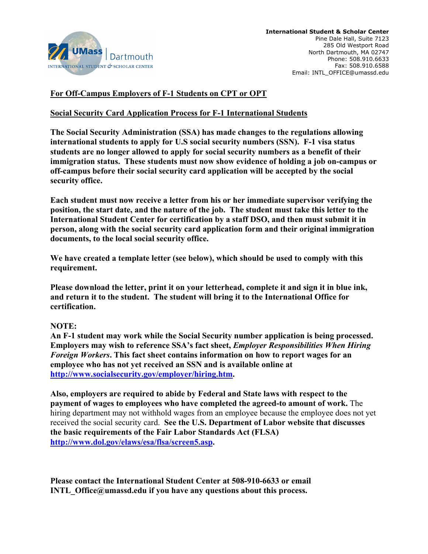

## **For Off-Campus Employers of F-1 Students on CPT or OPT**

### **Social Security Card Application Process for F-1 International Students**

**The Social Security Administration (SSA) has made changes to the regulations allowing international students to apply for U.S social security numbers (SSN). F-1 visa status students are no longer allowed to apply for social security numbers as a benefit of their immigration status. These students must now show evidence of holding a job on-campus or off-campus before their social security card application will be accepted by the social security office.**

**Each student must now receive a letter from his or her immediate supervisor verifying the position, the start date, and the nature of the job. The student must take this letter to the International Student Center for certification by a staff DSO, and then must submit it in person, along with the social security card application form and their original immigration documents, to the local social security office.**

**We have created a template letter (see below), which should be used to comply with this requirement.** 

**Please download the letter, print it on your letterhead, complete it and sign it in blue ink, and return it to the student. The student will bring it to the International Office for certification.**

#### **NOTE:**

**An F-1 student may work while the Social Security number application is being processed. Employers may wish to reference SSA's fact sheet,** *Employer Responsibilities When Hiring Foreign Workers***. This fact sheet contains information on how to report wages for an employee who has not yet received an SSN and is available online at http://www.socialsecurity.gov/employer/hiring.htm.**

**Also, employers are required to abide by Federal and State laws with respect to the payment of wages to employees who have completed the agreed-to amount of work.** The hiring department may not withhold wages from an employee because the employee does not yet received the social security card. **See the U.S. Department of Labor website that discusses the basic requirements of the Fair Labor Standards Act (FLSA) http://www.dol.gov/elaws/esa/flsa/screen5.asp.** 

**Please contact the International Student Center at 508-910-6633 or email INTL Office@umassd.edu if you have any questions about this process.**